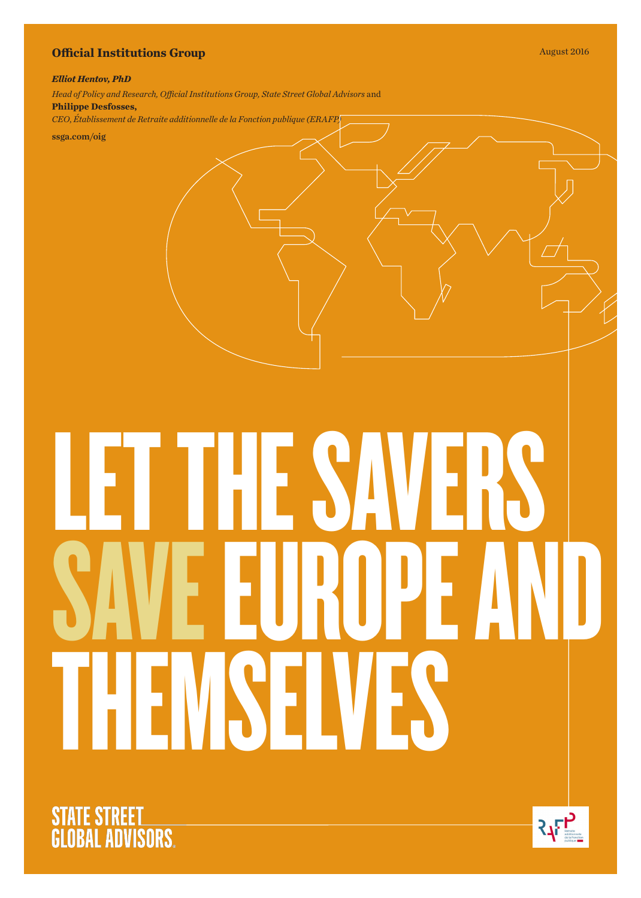## **Official Institutions Group** August 2016

## *Elliot Hentov, PhD*

*Head of Policy and Research, Official Institutions Group, State Street Global Advisors* and **Philippe Desfosses,** *CEO*, *Établissement de Retraite additionnelle de la Fonction publique (ERAFP)*

ssga.com/oig

# LET THE SAVERS<br>AVE EIJROPE A SAVE EUROPE AND YE IVE



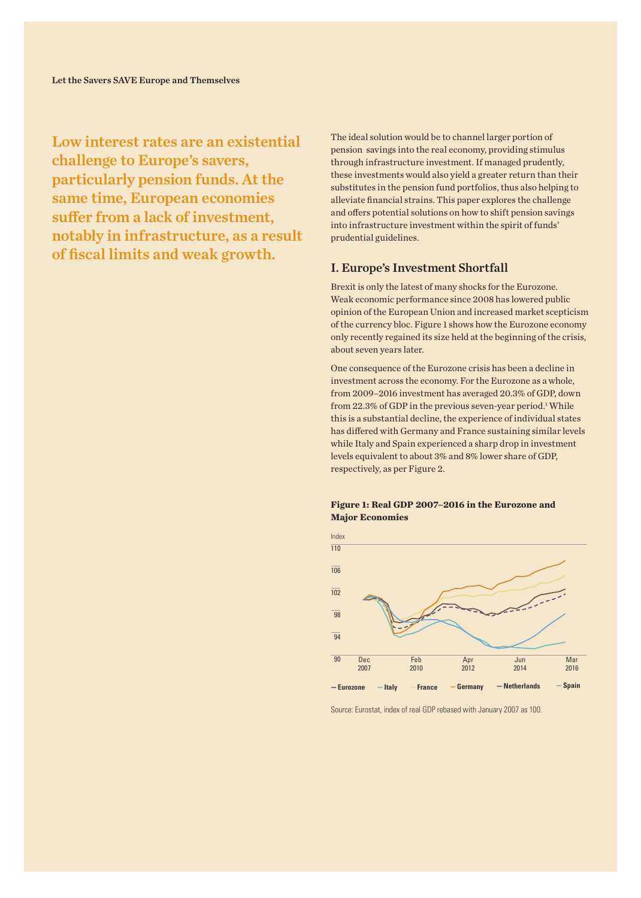Low interest rates are an existential challenge to Europe's savers, particularly pension funds. At the same time, European economies suffer from a lack of investment, notably in infrastructure, as a result of fiscal limits and weak growth.

The ideal solution would be to channel larger portion of pension savings into the real economy, providing stimulus through infrastructure investment. If managed prudently, these investments would also yield a greater return than their substitutes in the pension fund portfolios, thus also helping to alleviate financial strains. This paper explores the challenge and offers potential solutions on how to shift pension savings into infrastructure investment within the spirit of funds' prudential guidelines.

## I. Europe's Investment Shortfall

Brexit is only the latest of many shocks for the Eurozone. Weak economic performance since 2008 has lowered public opinion of the European Union and increased market scepticism of the currency bloc. Figure 1 shows how the Eurozone economy only recently regained its size held at the beginning of the crisis, about seven years later.

One consequence of the Eurozone crisis has been a decline in investment across the economy. For the Eurozone as a whole, from 2009–2016 investment has averaged 20.3% of GDP, down from 22.3% of GDP in the previous seven-year period.<sup>1</sup> While this is a substantial decline, the experience of individual states has differed with Germany and France sustaining similar levels while Italy and Spain experienced a sharp drop in investment levels equivalent to about 3% and 8% lower share of GDP, respectively, as per Figure 2.

## **Figure 1: Real GDP 2007–2016 in the Eurozone and Major Economies**



Source: Eurostat, index of real GDP rebased with January 2007 as 100.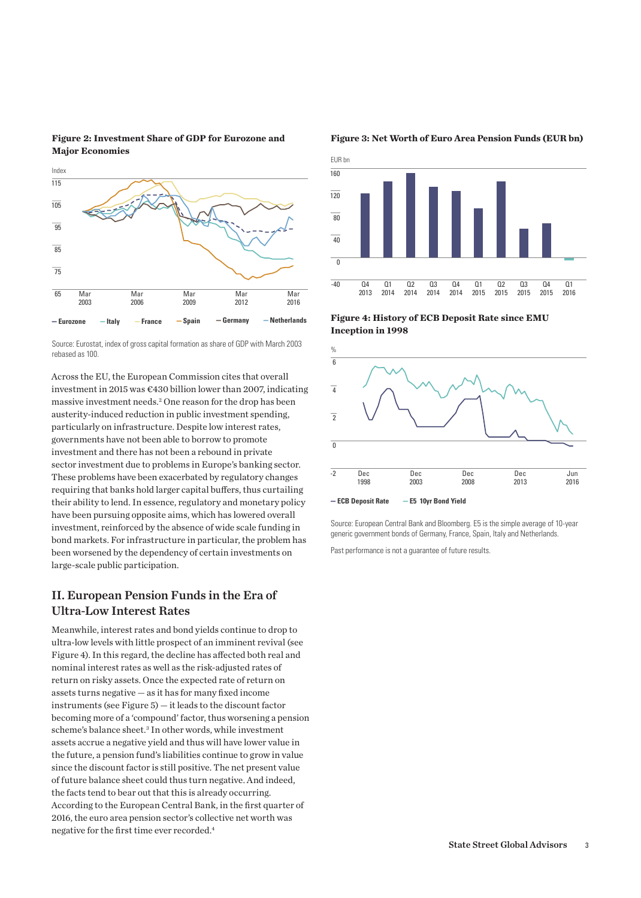



Source: Eurostat, index of gross capital formation as share of GDP with March 2003 rebased as 100.

Across the EU, the European Commission cites that overall investment in 2015 was €430 billion lower than 2007, indicating massive investment needs.2 One reason for the drop has been austerity-induced reduction in public investment spending, particularly on infrastructure. Despite low interest rates, governments have not been able to borrow to promote investment and there has not been a rebound in private sector investment due to problems in Europe's banking sector. These problems have been exacerbated by regulatory changes requiring that banks hold larger capital buffers, thus curtailing their ability to lend. In essence, regulatory and monetary policy have been pursuing opposite aims, which has lowered overall investment, reinforced by the absence of wide scale funding in bond markets. For infrastructure in particular, the problem has been worsened by the dependency of certain investments on large-scale public participation.

## II. European Pension Funds in the Era of Ultra-Low Interest Rates

Meanwhile, interest rates and bond yields continue to drop to ultra-low levels with little prospect of an imminent revival (see Figure 4). In this regard, the decline has affected both real and nominal interest rates as well as the risk-adjusted rates of return on risky assets. Once the expected rate of return on assets turns negative — as it has for many fixed income instruments (see Figure 5) — it leads to the discount factor becoming more of a 'compound' factor, thus worsening a pension scheme's balance sheet.<sup>3</sup> In other words, while investment assets accrue a negative yield and thus will have lower value in the future, a pension fund's liabilities continue to grow in value since the discount factor is still positive. The net present value of future balance sheet could thus turn negative. And indeed, the facts tend to bear out that this is already occurring. According to the European Central Bank, in the first quarter of 2016, the euro area pension sector's collective net worth was negative for the first time ever recorded.4

**Figure 3: Net Worth of Euro Area Pension Funds (EUR bn)**



**Figure 4: History of ECB Deposit Rate since EMU Inception in 1998**



Source: European Central Bank and Bloomberg. E5 is the simple average of 10-year generic government bonds of Germany, France, Spain, Italy and Netherlands.

Past performance is not a guarantee of future results.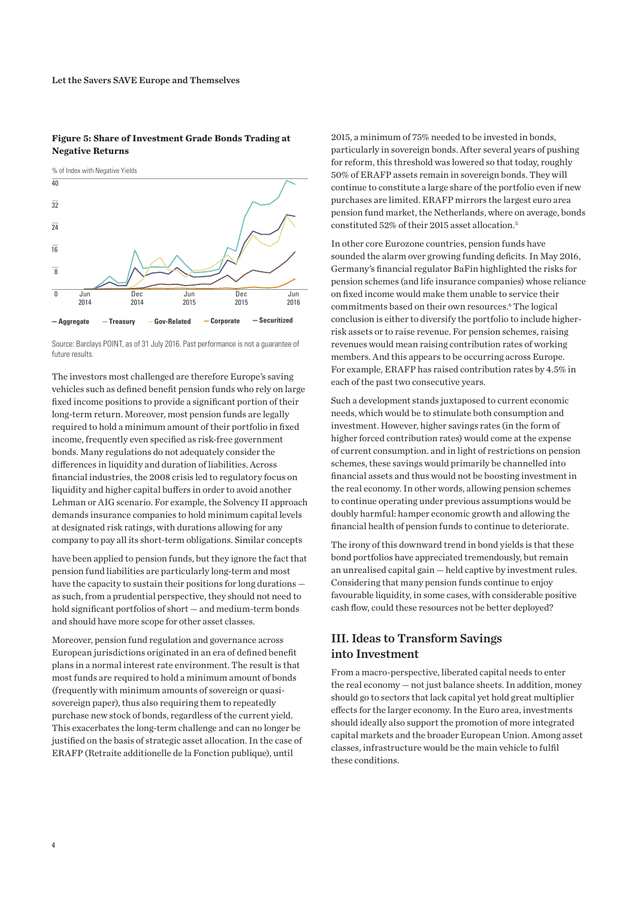## **Figure 5: Share of Investment Grade Bonds Trading at Negative Returns**



Source: Barclays POINT, as of 31 July 2016. Past performance is not a guarantee of future results.

The investors most challenged are therefore Europe's saving vehicles such as defined benefit pension funds who rely on large fixed income positions to provide a significant portion of their long-term return. Moreover, most pension funds are legally required to hold a minimum amount of their portfolio in fixed income, frequently even specified as risk-free government bonds. Many regulations do not adequately consider the differences in liquidity and duration of liabilities. Across financial industries, the 2008 crisis led to regulatory focus on liquidity and higher capital buffers in order to avoid another Lehman or AIG scenario. For example, the Solvency II approach demands insurance companies to hold minimum capital levels at designated risk ratings, with durations allowing for any company to pay all its short-term obligations. Similar concepts

have been applied to pension funds, but they ignore the fact that pension fund liabilities are particularly long-term and most have the capacity to sustain their positions for long durations as such, from a prudential perspective, they should not need to hold significant portfolios of short — and medium-term bonds and should have more scope for other asset classes.

Moreover, pension fund regulation and governance across European jurisdictions originated in an era of defined benefit plans in a normal interest rate environment. The result is that most funds are required to hold a minimum amount of bonds (frequently with minimum amounts of sovereign or quasisovereign paper), thus also requiring them to repeatedly purchase new stock of bonds, regardless of the current yield. This exacerbates the long-term challenge and can no longer be justified on the basis of strategic asset allocation. In the case of ERAFP (Retraite additionelle de la Fonction publique), until

2015, a minimum of 75% needed to be invested in bonds, particularly in sovereign bonds. After several years of pushing for reform, this threshold was lowered so that today, roughly 50% of ERAFP assets remain in sovereign bonds. They will continue to constitute a large share of the portfolio even if new purchases are limited. ERAFP mirrors the largest euro area pension fund market, the Netherlands, where on average, bonds constituted 52% of their 2015 asset allocation.5

In other core Eurozone countries, pension funds have sounded the alarm over growing funding deficits. In May 2016, Germany's financial regulator BaFin highlighted the risks for pension schemes (and life insurance companies) whose reliance on fixed income would make them unable to service their commitments based on their own resources.<sup>6</sup> The logical conclusion is either to diversify the portfolio to include higherrisk assets or to raise revenue. For pension schemes, raising revenues would mean raising contribution rates of working members. And this appears to be occurring across Europe. For example, ERAFP has raised contribution rates by 4.5% in each of the past two consecutive years.

Such a development stands juxtaposed to current economic needs, which would be to stimulate both consumption and investment. However, higher savings rates (in the form of higher forced contribution rates) would come at the expense of current consumption. and in light of restrictions on pension schemes, these savings would primarily be channelled into financial assets and thus would not be boosting investment in the real economy. In other words, allowing pension schemes to continue operating under previous assumptions would be doubly harmful: hamper economic growth and allowing the financial health of pension funds to continue to deteriorate.

The irony of this downward trend in bond yields is that these bond portfolios have appreciated tremendously, but remain an unrealised capital gain — held captive by investment rules. Considering that many pension funds continue to enjoy favourable liquidity, in some cases, with considerable positive cash flow, could these resources not be better deployed?

## III. Ideas to Transform Savings into Investment

From a macro-perspective, liberated capital needs to enter the real economy — not just balance sheets. In addition, money should go to sectors that lack capital yet hold great multiplier effects for the larger economy. In the Euro area, investments should ideally also support the promotion of more integrated capital markets and the broader European Union. Among asset classes, infrastructure would be the main vehicle to fulfil these conditions.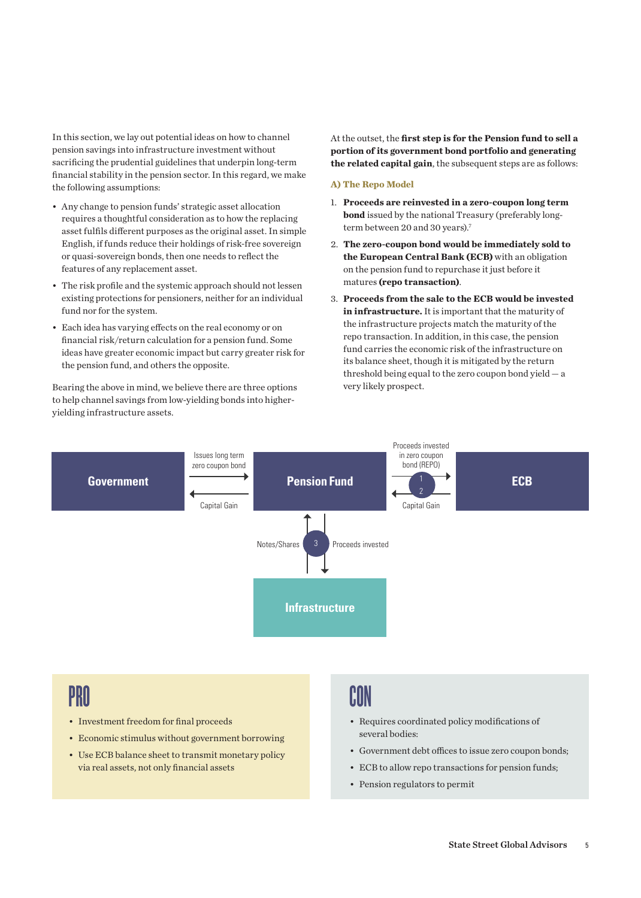In this section, we lay out potential ideas on how to channel pension savings into infrastructure investment without sacrificing the prudential guidelines that underpin long-term financial stability in the pension sector. In this regard, we make the following assumptions:

- • Any change to pension funds' strategic asset allocation requires a thoughtful consideration as to how the replacing asset fulfils different purposes as the original asset. In simple English, if funds reduce their holdings of risk-free sovereign or quasi-sovereign bonds, then one needs to reflect the features of any replacement asset.
- The risk profile and the systemic approach should not lessen existing protections for pensioners, neither for an individual fund nor for the system.
- • Each idea has varying effects on the real economy or on financial risk/return calculation for a pension fund. Some ideas have greater economic impact but carry greater risk for the pension fund, and others the opposite.

Bearing the above in mind, we believe there are three options to help channel savings from low-yielding bonds into higheryielding infrastructure assets.

At the outset, the **first step is for the Pension fund to sell a portion of its government bond portfolio and generating the related capital gain**, the subsequent steps are as follows:

## **A) The Repo Model**

- 1. **Proceeds are reinvested in a zero-coupon long term bond** issued by the national Treasury (preferably longterm between 20 and 30 years).<sup>7</sup>
- 2. **The zero-coupon bond would be immediately sold to the European Central Bank (ECB)** with an obligation on the pension fund to repurchase it just before it matures **(repo transaction)**.
- 3. **Proceeds from the sale to the ECB would be invested in infrastructure.** It is important that the maturity of the infrastructure projects match the maturity of the repo transaction. In addition, in this case, the pension fund carries the economic risk of the infrastructure on its balance sheet, though it is mitigated by the return threshold being equal to the zero coupon bond yield — a very likely prospect.



# PRO

- Investment freedom for final proceeds
- Economic stimulus without government borrowing
- Use ECB balance sheet to transmit monetary policy via real assets, not only financial assets

# CON

- • Requires coordinated policy modifications of several bodies:
- • Government debt offices to issue zero coupon bonds;
- ECB to allow repo transactions for pension funds;
- Pension regulators to permit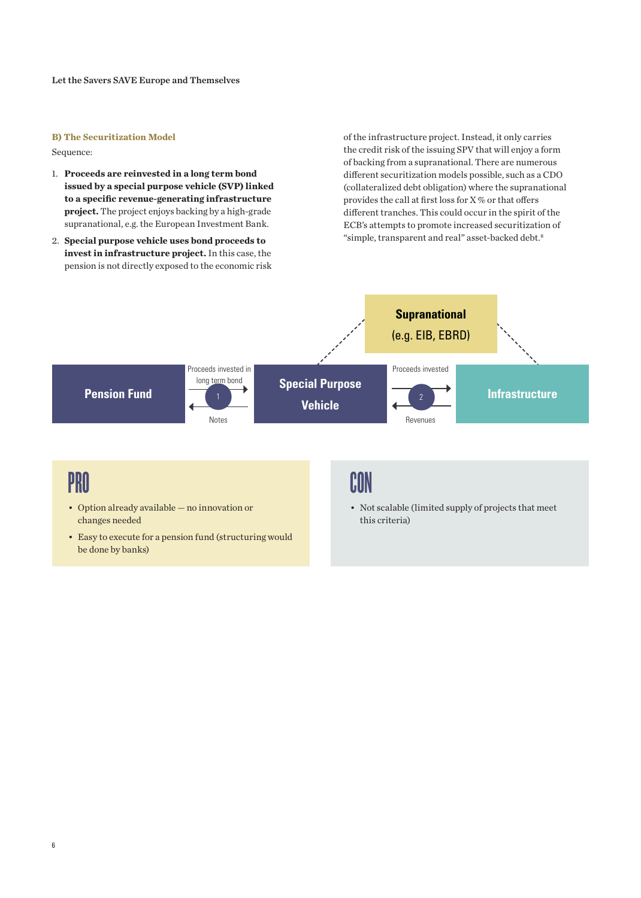## **B) The Securitization Model**

Sequence:

- 1. **Proceeds are reinvested in a long term bond issued by a special purpose vehicle (SVP) linked to a specific revenue-generating infrastructure project.** The project enjoys backing by a high-grade supranational, e.g. the European Investment Bank.
- 2. **Special purpose vehicle uses bond proceeds to invest in infrastructure project.** In this case, the pension is not directly exposed to the economic risk

of the infrastructure project. Instead, it only carries the credit risk of the issuing SPV that will enjoy a form of backing from a supranational. There are numerous different securitization models possible, such as a CDO (collateralized debt obligation) where the supranational provides the call at first loss for X % or that offers different tranches. This could occur in the spirit of the ECB's attempts to promote increased securitization of "simple, transparent and real" asset-backed debt.<sup>8</sup>



# **PRO**

- • Option already available no innovation or changes needed
- Easy to execute for a pension fund (structuring would be done by banks)

## CON

- Not scalable (limited supply of projects that meet this criteria)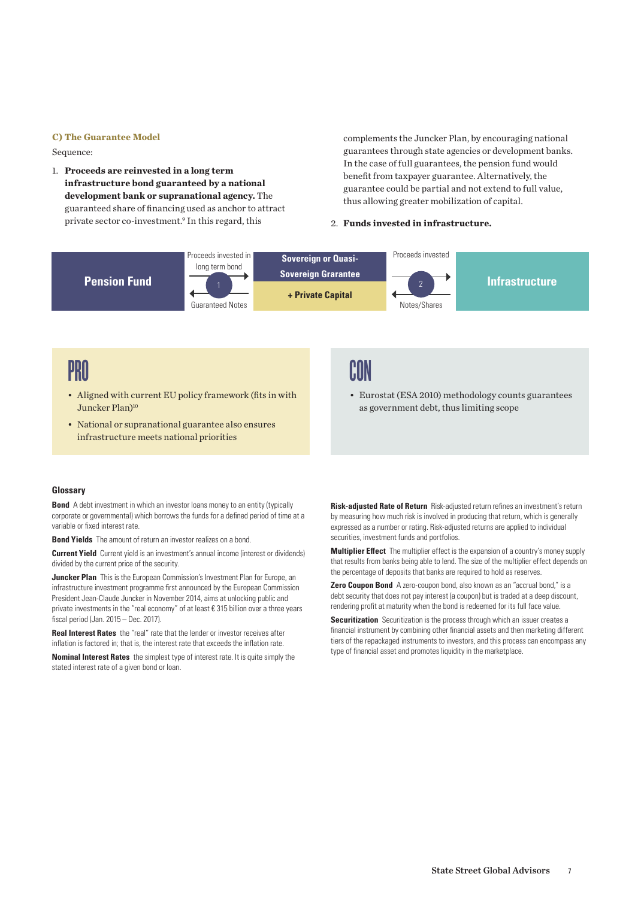## **C) The Guarantee Model**

Sequence:

1. **Proceeds are reinvested in a long term infrastructure bond guaranteed by a national development bank or supranational agency.** The guaranteed share of financing used as anchor to attract private sector co-investment.9 In this regard, this

complements the Juncker Plan, by encouraging national guarantees through state agencies or development banks. In the case of full guarantees, the pension fund would benefit from taxpayer guarantee. Alternatively, the guarantee could be partial and not extend to full value, thus allowing greater mobilization of capital.

## 2. **Funds invested in infrastructure.**



# PRO

- Aligned with current EU policy framework (fits in with Juncker Plan)<sup>10</sup>
- • National or supranational guarantee also ensures infrastructure meets national priorities

## CON

• Eurostat (ESA 2010) methodology counts guarantees as government debt, thus limiting scope

## **Glossary**

**Bond** A debt investment in which an investor loans money to an entity (typically corporate or governmental) which borrows the funds for a defined period of time at a variable or fixed interest rate.

**Bond Yields** The amount of return an investor realizes on a bond.

**Current Yield** Current yield is an investment's annual income (interest or dividends) divided by the current price of the security.

**Juncker Plan** This is the European Commission's Investment Plan for Europe, an infrastructure investment programme first announced by the European Commission President Jean-Claude Juncker in November 2014, aims at unlocking public and private investments in the "real economy" of at least € 315 billion over a three years fiscal period (Jan. 2015 – Dec. 2017).

**Real Interest Rates** the "real" rate that the lender or investor receives after inflation is factored in; that is, the interest rate that exceeds the inflation rate.

**Nominal Interest Rates** the simplest type of interest rate. It is quite simply the stated interest rate of a given bond or loan.

**Risk-adjusted Rate of Return** Risk-adjusted return refines an investment's return by measuring how much risk is involved in producing that return, which is generally expressed as a number or rating. Risk-adjusted returns are applied to individual securities, investment funds and portfolios.

**Multiplier Effect** The multiplier effect is the expansion of a country's money supply that results from banks being able to lend. The size of the multiplier effect depends on the percentage of deposits that banks are required to hold as reserves.

**Zero Coupon Bond** A zero-coupon bond, also known as an "accrual bond," is a debt security that does not pay interest (a coupon) but is traded at a deep discount, rendering profit at maturity when the bond is redeemed for its full face value.

**Securitization** Securitization is the process through which an issuer creates a financial instrument by combining other financial assets and then marketing different tiers of the repackaged instruments to investors, and this process can encompass any type of financial asset and promotes liquidity in the marketplace.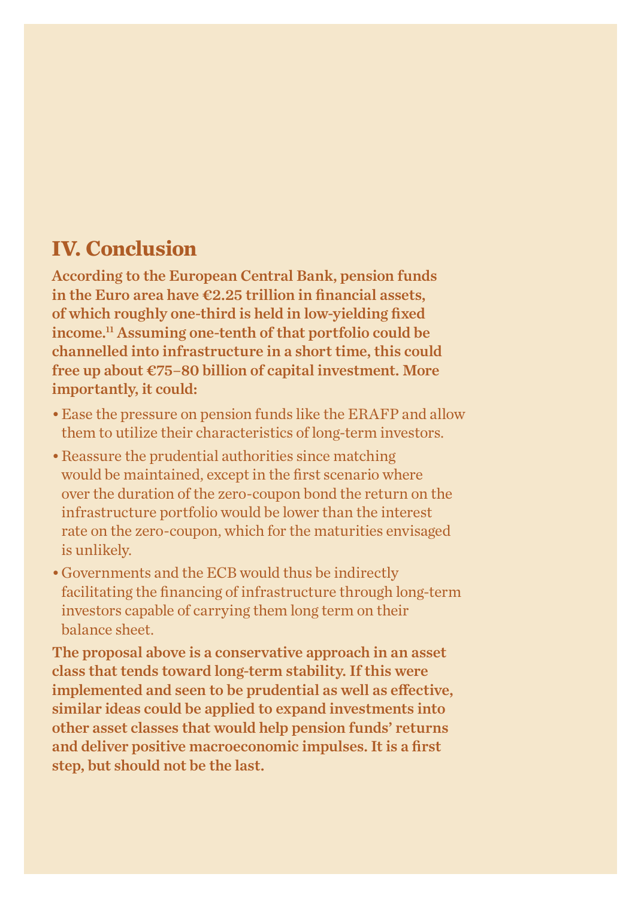## **IV. Conclusion**

According to the European Central Bank, pension funds in the Euro area have  $\epsilon$ 2.25 trillion in financial assets, of which roughly one-third is held in low-yielding fixed income.11 Assuming one-tenth of that portfolio could be channelled into infrastructure in a short time, this could free up about €75–80 billion of capital investment. More importantly, it could:

- Ease the pressure on pension funds like the ERAFP and allow them to utilize their characteristics of long-term investors.
- Reassure the prudential authorities since matching would be maintained, except in the first scenario where over the duration of the zero-coupon bond the return on the infrastructure portfolio would be lower than the interest rate on the zero-coupon, which for the maturities envisaged is unlikely.
- • Governments and the ECB would thus be indirectly facilitating the financing of infrastructure through long-term investors capable of carrying them long term on their balance sheet.

The proposal above is a conservative approach in an asset class that tends toward long-term stability. If this were implemented and seen to be prudential as well as effective, similar ideas could be applied to expand investments into other asset classes that would help pension funds' returns and deliver positive macroeconomic impulses. It is a first step, but should not be the last.